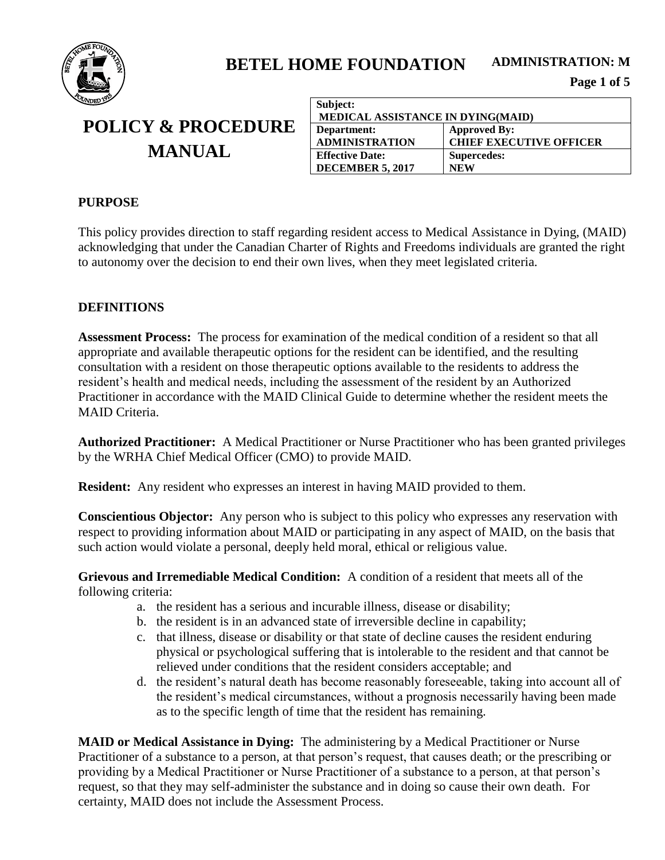

## **POLICY & PROCEDURE MANUAL**

| Subject:                          |                                |  |
|-----------------------------------|--------------------------------|--|
| MEDICAL ASSISTANCE IN DYING(MAID) |                                |  |
| Department:                       | <b>Approved By:</b>            |  |
| <b>ADMINISTRATION</b>             | <b>CHIEF EXECUTIVE OFFICER</b> |  |
| <b>Effective Date:</b>            | <b>Supercedes:</b>             |  |
| <b>DECEMBER 5, 2017</b>           | <b>NEW</b>                     |  |

#### **PURPOSE**

This policy provides direction to staff regarding resident access to Medical Assistance in Dying, (MAID) acknowledging that under the Canadian Charter of Rights and Freedoms individuals are granted the right to autonomy over the decision to end their own lives, when they meet legislated criteria.

### **DEFINITIONS**

**Assessment Process:** The process for examination of the medical condition of a resident so that all appropriate and available therapeutic options for the resident can be identified, and the resulting consultation with a resident on those therapeutic options available to the residents to address the resident's health and medical needs, including the assessment of the resident by an Authorized Practitioner in accordance with the MAID Clinical Guide to determine whether the resident meets the MAID Criteria.

**Authorized Practitioner:** A Medical Practitioner or Nurse Practitioner who has been granted privileges by the WRHA Chief Medical Officer (CMO) to provide MAID.

**Resident:** Any resident who expresses an interest in having MAID provided to them.

**Conscientious Objector:** Any person who is subject to this policy who expresses any reservation with respect to providing information about MAID or participating in any aspect of MAID, on the basis that such action would violate a personal, deeply held moral, ethical or religious value.

**Grievous and Irremediable Medical Condition:** A condition of a resident that meets all of the following criteria:

- a. the resident has a serious and incurable illness, disease or disability;
- b. the resident is in an advanced state of irreversible decline in capability;
- c. that illness, disease or disability or that state of decline causes the resident enduring physical or psychological suffering that is intolerable to the resident and that cannot be relieved under conditions that the resident considers acceptable; and
- d. the resident's natural death has become reasonably foreseeable, taking into account all of the resident's medical circumstances, without a prognosis necessarily having been made as to the specific length of time that the resident has remaining.

**MAID or Medical Assistance in Dying:** The administering by a Medical Practitioner or Nurse Practitioner of a substance to a person, at that person's request, that causes death; or the prescribing or providing by a Medical Practitioner or Nurse Practitioner of a substance to a person, at that person's request, so that they may self-administer the substance and in doing so cause their own death. For certainty, MAID does not include the Assessment Process.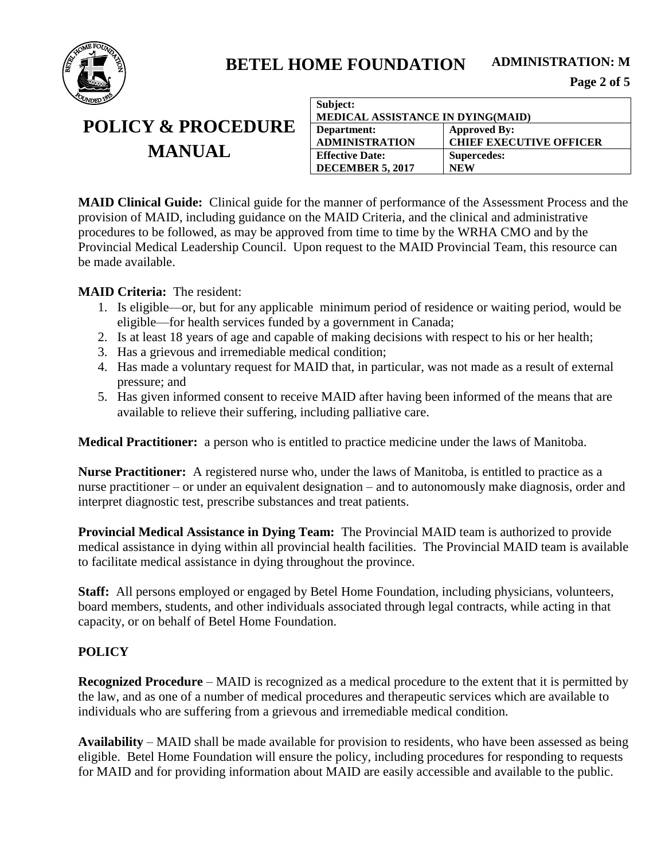

# **POLICY & PROCEDURE MANUAL**

| Subject:                          |                                |  |
|-----------------------------------|--------------------------------|--|
| MEDICAL ASSISTANCE IN DYING(MAID) |                                |  |
| Department:                       | <b>Approved By:</b>            |  |
| <b>ADMINISTRATION</b>             | <b>CHIEF EXECUTIVE OFFICER</b> |  |
| <b>Effective Date:</b>            | Supercedes:                    |  |
| <b>DECEMBER 5, 2017</b>           | <b>NEW</b>                     |  |

**MAID Clinical Guide:** Clinical guide for the manner of performance of the Assessment Process and the provision of MAID, including guidance on the MAID Criteria, and the clinical and administrative procedures to be followed, as may be approved from time to time by the WRHA CMO and by the Provincial Medical Leadership Council. Upon request to the MAID Provincial Team, this resource can be made available.

### **MAID Criteria:** The resident:

- 1. Is eligible—or, but for any applicable minimum period of residence or waiting period, would be eligible—for health services funded by a government in Canada;
- 2. Is at least 18 years of age and capable of making decisions with respect to his or her health;
- 3. Has a grievous and irremediable medical condition;
- 4. Has made a voluntary request for MAID that, in particular, was not made as a result of external pressure; and
- 5. Has given informed consent to receive MAID after having been informed of the means that are available to relieve their suffering, including palliative care.

**Medical Practitioner:** a person who is entitled to practice medicine under the laws of Manitoba.

**Nurse Practitioner:** A registered nurse who, under the laws of Manitoba, is entitled to practice as a nurse practitioner – or under an equivalent designation – and to autonomously make diagnosis, order and interpret diagnostic test, prescribe substances and treat patients.

**Provincial Medical Assistance in Dying Team:** The Provincial MAID team is authorized to provide medical assistance in dying within all provincial health facilities. The Provincial MAID team is available to facilitate medical assistance in dying throughout the province.

**Staff:** All persons employed or engaged by Betel Home Foundation, including physicians, volunteers, board members, students, and other individuals associated through legal contracts, while acting in that capacity, or on behalf of Betel Home Foundation.

### **POLICY**

**Recognized Procedure** – MAID is recognized as a medical procedure to the extent that it is permitted by the law, and as one of a number of medical procedures and therapeutic services which are available to individuals who are suffering from a grievous and irremediable medical condition.

**Availability** – MAID shall be made available for provision to residents, who have been assessed as being eligible. Betel Home Foundation will ensure the policy, including procedures for responding to requests for MAID and for providing information about MAID are easily accessible and available to the public.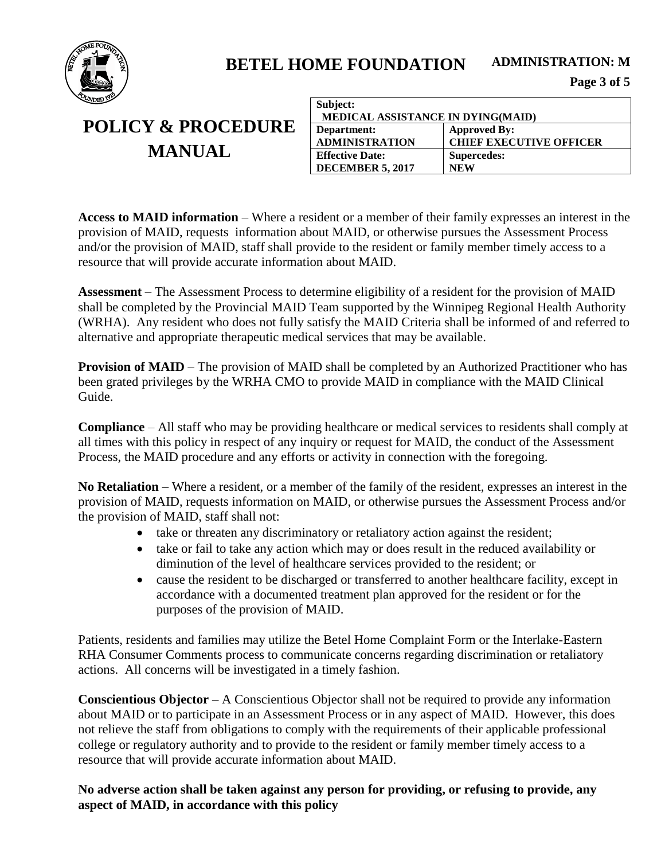

# **POLICY & PROCEDURE MANUAL**

| Subject:                                 |                                |  |
|------------------------------------------|--------------------------------|--|
| <b>MEDICAL ASSISTANCE IN DYING(MAID)</b> |                                |  |
| Department:                              | <b>Approved By:</b>            |  |
| <b>ADMINISTRATION</b>                    | <b>CHIEF EXECUTIVE OFFICER</b> |  |
| <b>Effective Date:</b>                   | Supercedes:                    |  |
| <b>DECEMBER 5, 2017</b>                  | <b>NEW</b>                     |  |

**Access to MAID information** – Where a resident or a member of their family expresses an interest in the provision of MAID, requests information about MAID, or otherwise pursues the Assessment Process and/or the provision of MAID, staff shall provide to the resident or family member timely access to a resource that will provide accurate information about MAID.

**Assessment** – The Assessment Process to determine eligibility of a resident for the provision of MAID shall be completed by the Provincial MAID Team supported by the Winnipeg Regional Health Authority (WRHA). Any resident who does not fully satisfy the MAID Criteria shall be informed of and referred to alternative and appropriate therapeutic medical services that may be available.

**Provision of MAID** – The provision of MAID shall be completed by an Authorized Practitioner who has been grated privileges by the WRHA CMO to provide MAID in compliance with the MAID Clinical Guide.

**Compliance** – All staff who may be providing healthcare or medical services to residents shall comply at all times with this policy in respect of any inquiry or request for MAID, the conduct of the Assessment Process, the MAID procedure and any efforts or activity in connection with the foregoing.

**No Retaliation** – Where a resident, or a member of the family of the resident, expresses an interest in the provision of MAID, requests information on MAID, or otherwise pursues the Assessment Process and/or the provision of MAID, staff shall not:

- take or threaten any discriminatory or retaliatory action against the resident;
- take or fail to take any action which may or does result in the reduced availability or diminution of the level of healthcare services provided to the resident; or
- cause the resident to be discharged or transferred to another healthcare facility, except in accordance with a documented treatment plan approved for the resident or for the purposes of the provision of MAID.

Patients, residents and families may utilize the Betel Home Complaint Form or the Interlake-Eastern RHA Consumer Comments process to communicate concerns regarding discrimination or retaliatory actions. All concerns will be investigated in a timely fashion.

**Conscientious Objector** – A Conscientious Objector shall not be required to provide any information about MAID or to participate in an Assessment Process or in any aspect of MAID. However, this does not relieve the staff from obligations to comply with the requirements of their applicable professional college or regulatory authority and to provide to the resident or family member timely access to a resource that will provide accurate information about MAID.

#### **No adverse action shall be taken against any person for providing, or refusing to provide, any aspect of MAID, in accordance with this policy**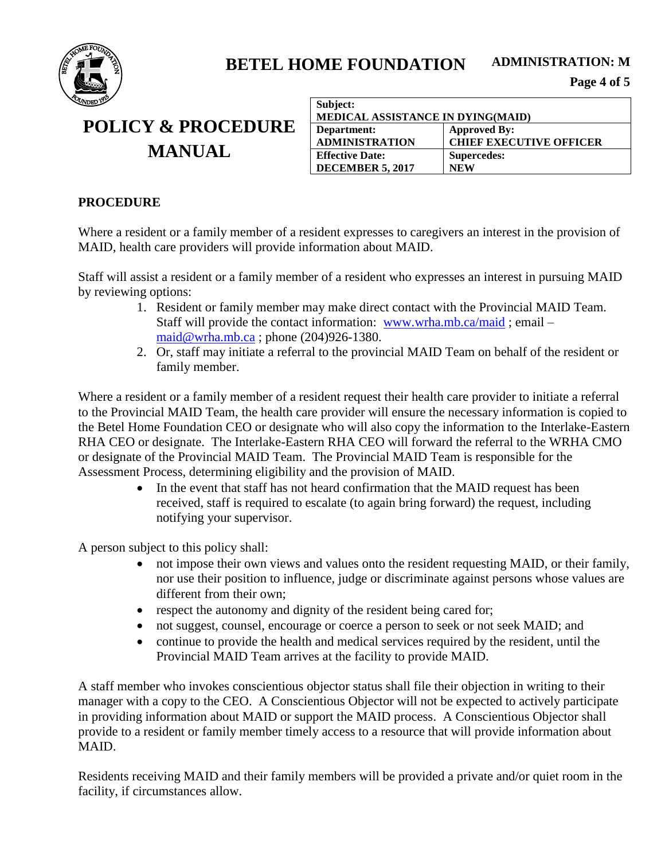

# **POLICY & PROCEDURE MANUAL**

| Subject:                                 |                                |  |
|------------------------------------------|--------------------------------|--|
| <b>MEDICAL ASSISTANCE IN DYING(MAID)</b> |                                |  |
| Department:                              | <b>Approved By:</b>            |  |
| <b>ADMINISTRATION</b>                    | <b>CHIEF EXECUTIVE OFFICER</b> |  |
| <b>Effective Date:</b>                   | Supercedes:                    |  |
| <b>DECEMBER 5, 2017</b>                  | <b>NEW</b>                     |  |

#### **PROCEDURE**

Where a resident or a family member of a resident expresses to caregivers an interest in the provision of MAID, health care providers will provide information about MAID.

Staff will assist a resident or a family member of a resident who expresses an interest in pursuing MAID by reviewing options:

- 1. Resident or family member may make direct contact with the Provincial MAID Team. Staff will provide the contact information: [www.wrha.mb.ca/maid](http://www.wrha.mb.ca/maid) ; email – [maid@wrha.mb.ca](mailto:maid@wrha.mb.ca) ; phone (204)926-1380.
- 2. Or, staff may initiate a referral to the provincial MAID Team on behalf of the resident or family member.

Where a resident or a family member of a resident request their health care provider to initiate a referral to the Provincial MAID Team, the health care provider will ensure the necessary information is copied to the Betel Home Foundation CEO or designate who will also copy the information to the Interlake-Eastern RHA CEO or designate. The Interlake-Eastern RHA CEO will forward the referral to the WRHA CMO or designate of the Provincial MAID Team. The Provincial MAID Team is responsible for the Assessment Process, determining eligibility and the provision of MAID.

> • In the event that staff has not heard confirmation that the MAID request has been received, staff is required to escalate (to again bring forward) the request, including notifying your supervisor.

A person subject to this policy shall:

- not impose their own views and values onto the resident requesting MAID, or their family, nor use their position to influence, judge or discriminate against persons whose values are different from their own;
- respect the autonomy and dignity of the resident being cared for;
- not suggest, counsel, encourage or coerce a person to seek or not seek MAID; and
- continue to provide the health and medical services required by the resident, until the Provincial MAID Team arrives at the facility to provide MAID.

A staff member who invokes conscientious objector status shall file their objection in writing to their manager with a copy to the CEO. A Conscientious Objector will not be expected to actively participate in providing information about MAID or support the MAID process. A Conscientious Objector shall provide to a resident or family member timely access to a resource that will provide information about MAID.

Residents receiving MAID and their family members will be provided a private and/or quiet room in the facility, if circumstances allow.